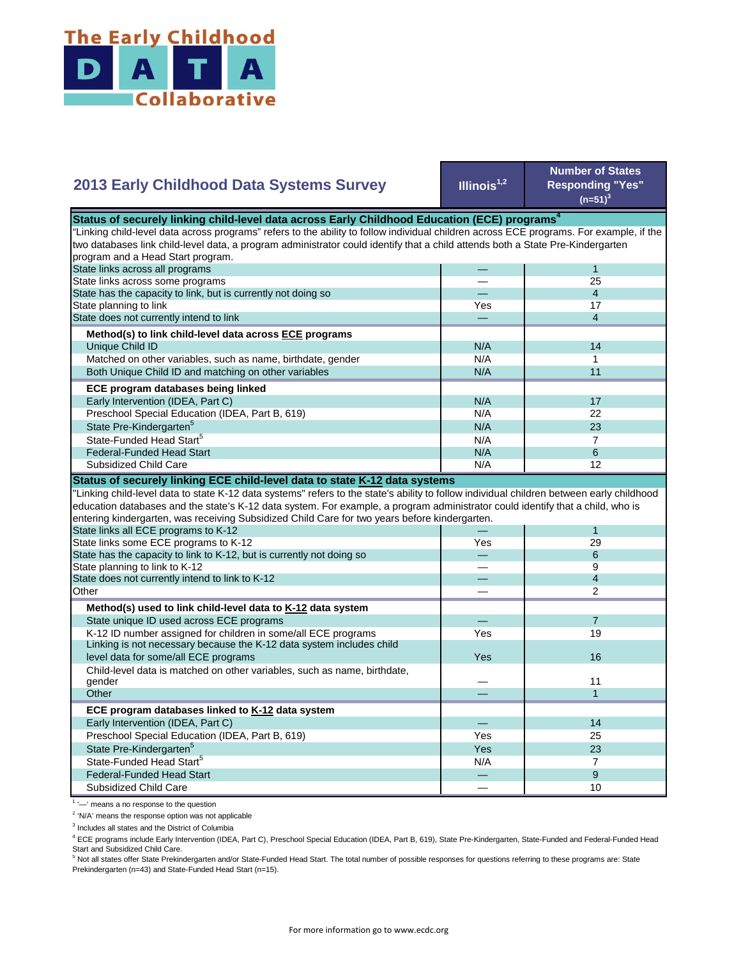

| <b>2013 Early Childhood Data Systems Survey</b>                                                                                           | Illinois $1,2$ | <b>Number of States</b><br><b>Responding "Yes"</b><br>$(n=51)^3$ |
|-------------------------------------------------------------------------------------------------------------------------------------------|----------------|------------------------------------------------------------------|
| Status of securely linking child-level data across Early Childhood Education (ECE) programs <sup>4</sup>                                  |                |                                                                  |
| 'Linking child-level data across programs" refers to the ability to follow individual children across ECE programs. For example, if the   |                |                                                                  |
| two databases link child-level data, a program administrator could identify that a child attends both a State Pre-Kindergarten            |                |                                                                  |
| program and a Head Start program.                                                                                                         |                |                                                                  |
| State links across all programs                                                                                                           |                | 1                                                                |
| State links across some programs                                                                                                          |                | 25                                                               |
| State has the capacity to link, but is currently not doing so                                                                             |                | $\overline{4}$                                                   |
| State planning to link                                                                                                                    | Yes            | 17                                                               |
| State does not currently intend to link                                                                                                   |                | $\overline{4}$                                                   |
|                                                                                                                                           |                |                                                                  |
| Method(s) to link child-level data across ECE programs                                                                                    |                |                                                                  |
| Unique Child ID                                                                                                                           | N/A            | 14                                                               |
| Matched on other variables, such as name, birthdate, gender                                                                               | N/A            | 1                                                                |
| Both Unique Child ID and matching on other variables                                                                                      | N/A            | 11                                                               |
| ECE program databases being linked                                                                                                        |                |                                                                  |
| Early Intervention (IDEA, Part C)                                                                                                         | N/A            | 17                                                               |
| Preschool Special Education (IDEA, Part B, 619)                                                                                           | N/A            | 22                                                               |
| State Pre-Kindergarten <sup>5</sup>                                                                                                       | N/A            | 23                                                               |
| State-Funded Head Start <sup>5</sup>                                                                                                      | N/A            | $\overline{7}$                                                   |
| <b>Federal-Funded Head Start</b>                                                                                                          | N/A            | 6                                                                |
| Subsidized Child Care                                                                                                                     | N/A            | 12                                                               |
| Status of securely linking ECE child-level data to state K-12 data systems                                                                |                |                                                                  |
| 'Linking child-level data to state K-12 data systems" refers to the state's ability to follow individual children between early childhood |                |                                                                  |
| education databases and the state's K-12 data system. For example, a program administrator could identify that a child, who is            |                |                                                                  |
| entering kindergarten, was receiving Subsidized Child Care for two years before kindergarten.                                             |                |                                                                  |
| State links all ECE programs to K-12                                                                                                      |                | 1                                                                |
| State links some ECE programs to K-12                                                                                                     | Yes            | 29                                                               |
| State has the capacity to link to K-12, but is currently not doing so                                                                     |                | 6                                                                |
| State planning to link to K-12                                                                                                            |                | 9                                                                |
| State does not currently intend to link to K-12                                                                                           |                | $\overline{4}$                                                   |
| Other                                                                                                                                     |                | $\overline{2}$                                                   |
|                                                                                                                                           |                |                                                                  |
| Method(s) used to link child-level data to K-12 data system                                                                               |                |                                                                  |
| State unique ID used across ECE programs                                                                                                  |                | $\overline{7}$                                                   |
| K-12 ID number assigned for children in some/all ECE programs                                                                             | Yes            | 19                                                               |
| Linking is not necessary because the K-12 data system includes child                                                                      |                |                                                                  |
| level data for some/all ECE programs                                                                                                      | Yes            | 16                                                               |
| Child-level data is matched on other variables, such as name, birthdate,                                                                  |                |                                                                  |
| gender                                                                                                                                    |                | 11                                                               |
| Other                                                                                                                                     |                | $\mathbf{1}$                                                     |
| ECE program databases linked to K-12 data system                                                                                          |                |                                                                  |
| Early Intervention (IDEA, Part C)                                                                                                         |                | 14                                                               |
| Preschool Special Education (IDEA, Part B, 619)                                                                                           | Yes            | 25                                                               |
| State Pre-Kindergarten <sup>5</sup>                                                                                                       | Yes            | 23                                                               |
| State-Funded Head Start <sup>5</sup>                                                                                                      | N/A            | $\overline{7}$                                                   |
| <b>Federal-Funded Head Start</b>                                                                                                          |                | 9                                                                |
| <b>Subsidized Child Care</b>                                                                                                              |                | 10                                                               |
|                                                                                                                                           |                |                                                                  |

<sup>1</sup> '-' means a no response to the question

<sup>2</sup> 'N/A' means the response option was not applicable

<sup>3</sup> Includes all states and the District of Columbia

<sup>4</sup> ECE programs include Early Intervention (IDEA, Part C), Preschool Special Education (IDEA, Part B, 619), State Pre-Kindergarten, State-Funded and Federal-Funded Head

Start and Subsidized Child Care.<br><sup>5</sup> Not all states offer State Prekindergarten and/or State-Funded Head Start. The total number of possible responses for questions referring to these programs are: State Prekindergarten (n=43) and State-Funded Head Start (n=15).